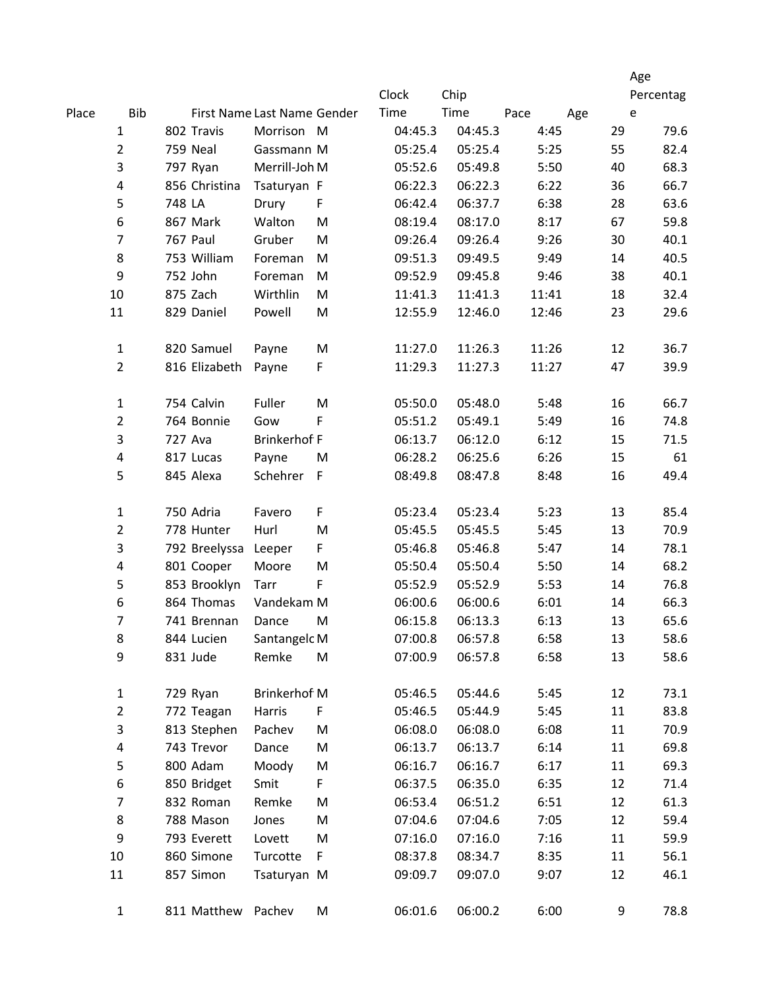|       |                         |                             |               |                     |             |         |         |           |     | Age  |
|-------|-------------------------|-----------------------------|---------------|---------------------|-------------|---------|---------|-----------|-----|------|
|       |                         |                             |               | Clock               | Chip        |         |         | Percentag |     |      |
| Place | <b>Bib</b>              | First Name Last Name Gender |               |                     |             | Time    | Time    | Pace      | Age | e    |
|       | 1                       |                             | 802 Travis    | Morrison M          |             | 04:45.3 | 04:45.3 | 4:45      | 29  | 79.6 |
|       | $\overline{2}$          |                             | 759 Neal      | Gassmann M          |             | 05:25.4 | 05:25.4 | 5:25      | 55  | 82.4 |
|       | 3                       |                             | 797 Ryan      | Merrill-Joh M       |             | 05:52.6 | 05:49.8 | 5:50      | 40  | 68.3 |
|       | 4                       |                             | 856 Christina | Tsaturyan F         |             | 06:22.3 | 06:22.3 | 6:22      | 36  | 66.7 |
|       | $\mathsf S$             | 748 LA                      |               | Drury               | F           | 06:42.4 | 06:37.7 | 6:38      | 28  | 63.6 |
|       | 6                       |                             | 867 Mark      | Walton              | M           | 08:19.4 | 08:17.0 | 8:17      | 67  | 59.8 |
|       | $\overline{7}$          |                             | 767 Paul      | Gruber              | M           | 09:26.4 | 09:26.4 | 9:26      | 30  | 40.1 |
|       | 8                       |                             | 753 William   | Foreman             | ${\sf M}$   | 09:51.3 | 09:49.5 | 9:49      | 14  | 40.5 |
|       | 9                       |                             | 752 John      | Foreman             | ${\sf M}$   | 09:52.9 | 09:45.8 | 9:46      | 38  | 40.1 |
|       | 10                      |                             | 875 Zach      | Wirthlin            | M           | 11:41.3 | 11:41.3 | 11:41     | 18  | 32.4 |
|       | 11                      |                             | 829 Daniel    | Powell              | M           | 12:55.9 | 12:46.0 | 12:46     | 23  | 29.6 |
|       | $\mathbf{1}$            |                             | 820 Samuel    | Payne               | ${\sf M}$   | 11:27.0 | 11:26.3 | 11:26     | 12  | 36.7 |
|       | $\overline{2}$          |                             | 816 Elizabeth | Payne               | $\mathsf F$ | 11:29.3 | 11:27.3 | 11:27     | 47  | 39.9 |
|       | $\mathbf 1$             |                             | 754 Calvin    | Fuller              | M           | 05:50.0 | 05:48.0 | 5:48      | 16  | 66.7 |
|       | $\overline{2}$          |                             | 764 Bonnie    | Gow                 | F           | 05:51.2 | 05:49.1 | 5:49      | 16  | 74.8 |
|       | 3                       | 727 Ava                     |               | <b>Brinkerhof F</b> |             | 06:13.7 | 06:12.0 | 6:12      | 15  | 71.5 |
|       | $\overline{\mathbf{4}}$ |                             | 817 Lucas     | Payne               | M           | 06:28.2 | 06:25.6 | 6:26      | 15  | 61   |
|       | 5                       |                             | 845 Alexa     | Schehrer            | $\mathsf F$ | 08:49.8 | 08:47.8 | 8:48      | 16  | 49.4 |
|       | $\mathbf 1$             |                             | 750 Adria     | Favero              | F           | 05:23.4 | 05:23.4 | 5:23      | 13  | 85.4 |
|       | $\overline{2}$          |                             | 778 Hunter    | Hurl                | M           | 05:45.5 | 05:45.5 | 5:45      | 13  | 70.9 |
|       | 3                       |                             | 792 Breelyssa | Leeper              | F           | 05:46.8 | 05:46.8 | 5:47      | 14  | 78.1 |
|       | 4                       |                             | 801 Cooper    | Moore               | M           | 05:50.4 | 05:50.4 | 5:50      | 14  | 68.2 |
|       | 5                       |                             | 853 Brooklyn  | Tarr                | $\mathsf F$ | 05:52.9 | 05:52.9 | 5:53      | 14  | 76.8 |
|       | 6                       |                             | 864 Thomas    | Vandekam M          |             | 06:00.6 | 06:00.6 | 6:01      | 14  | 66.3 |
|       | 7                       |                             | 741 Brennan   | Dance               | M           | 06:15.8 | 06:13.3 | 6:13      | 13  | 65.6 |
|       | 8                       |                             | 844 Lucien    | Santangelc M        |             | 07:00.8 | 06:57.8 | 6:58      | 13  | 58.6 |
|       | 9                       |                             | 831 Jude      | Remke               | M           | 07:00.9 | 06:57.8 | 6:58      | 13  | 58.6 |
|       | 1                       |                             | 729 Ryan      | <b>Brinkerhof M</b> |             | 05:46.5 | 05:44.6 | 5:45      | 12  | 73.1 |
|       | $\overline{2}$          |                             | 772 Teagan    | Harris              | F           | 05:46.5 | 05:44.9 | 5:45      | 11  | 83.8 |
|       | 3                       |                             | 813 Stephen   | Pachev              | M           | 06:08.0 | 06:08.0 | 6:08      | 11  | 70.9 |
|       | 4                       |                             | 743 Trevor    | Dance               | M           | 06:13.7 | 06:13.7 | 6:14      | 11  | 69.8 |
|       | 5                       |                             | 800 Adam      | Moody               | M           | 06:16.7 | 06:16.7 | 6:17      | 11  | 69.3 |
|       | 6                       |                             | 850 Bridget   | Smit                | F           | 06:37.5 | 06:35.0 | 6:35      | 12  | 71.4 |
|       | 7                       |                             | 832 Roman     | Remke               | M           | 06:53.4 | 06:51.2 | 6:51      | 12  | 61.3 |
|       | 8                       |                             | 788 Mason     | Jones               | M           | 07:04.6 | 07:04.6 | 7:05      | 12  | 59.4 |
|       | 9                       |                             | 793 Everett   | Lovett              | M           | 07:16.0 | 07:16.0 | 7:16      | 11  | 59.9 |
|       | 10                      |                             | 860 Simone    | Turcotte            | F           | 08:37.8 | 08:34.7 | 8:35      | 11  | 56.1 |
|       | 11                      |                             | 857 Simon     | Tsaturyan M         |             | 09:09.7 | 09:07.0 | 9:07      | 12  | 46.1 |
|       | $\mathbf{1}$            |                             | 811 Matthew   | Pachev              | M           | 06:01.6 | 06:00.2 | 6:00      | 9   | 78.8 |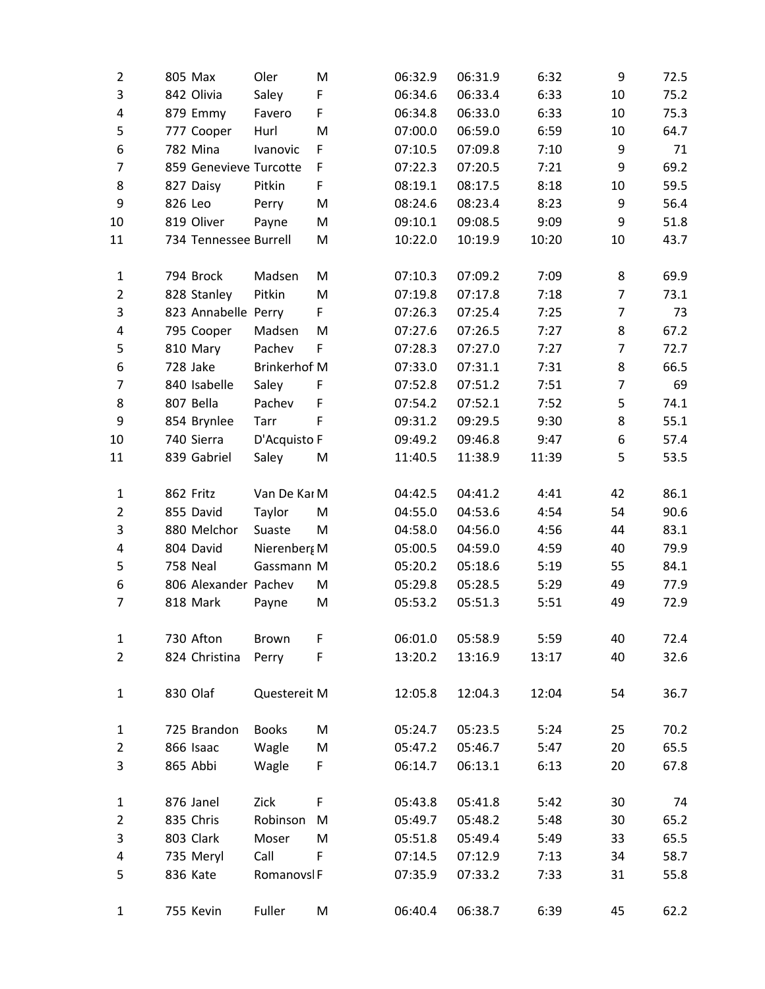| $\overline{2}$ | 805 Max                | Oler                | M | 06:32.9 | 06:31.9 | 6:32  | 9              | 72.5 |
|----------------|------------------------|---------------------|---|---------|---------|-------|----------------|------|
| 3              | 842 Olivia             | Saley               | F | 06:34.6 | 06:33.4 | 6:33  | 10             | 75.2 |
| 4              | 879 Emmy               | Favero              | F | 06:34.8 | 06:33.0 | 6:33  | 10             | 75.3 |
| 5              | 777 Cooper             | Hurl                | M | 07:00.0 | 06:59.0 | 6:59  | 10             | 64.7 |
| 6              | 782 Mina               | Ivanovic            | F | 07:10.5 | 07:09.8 | 7:10  | 9              | 71   |
| $\overline{7}$ | 859 Genevieve Turcotte |                     | F | 07:22.3 | 07:20.5 | 7:21  | 9              | 69.2 |
| 8              | 827 Daisy              | Pitkin              | F | 08:19.1 | 08:17.5 | 8:18  | 10             | 59.5 |
| 9              | 826 Leo                | Perry               | M | 08:24.6 | 08:23.4 | 8:23  | 9              | 56.4 |
| 10             | 819 Oliver             | Payne               | M | 09:10.1 | 09:08.5 | 9:09  | 9              | 51.8 |
| 11             | 734 Tennessee Burrell  |                     | M | 10:22.0 | 10:19.9 | 10:20 | 10             | 43.7 |
| $\mathbf{1}$   | 794 Brock              | Madsen              | M | 07:10.3 | 07:09.2 | 7:09  | 8              | 69.9 |
| $\overline{2}$ | 828 Stanley            | Pitkin              | M | 07:19.8 | 07:17.8 | 7:18  | $\overline{7}$ | 73.1 |
| 3              | 823 Annabelle Perry    |                     | F | 07:26.3 | 07:25.4 | 7:25  | $\overline{7}$ | 73   |
| 4              | 795 Cooper             | Madsen              | M | 07:27.6 | 07:26.5 | 7:27  | 8              | 67.2 |
| 5              | 810 Mary               | Pachev              | F | 07:28.3 | 07:27.0 | 7:27  | $\overline{7}$ | 72.7 |
| 6              | 728 Jake               | <b>Brinkerhof M</b> |   | 07:33.0 | 07:31.1 | 7:31  | 8              | 66.5 |
| 7              | 840 Isabelle           | Saley               | F | 07:52.8 | 07:51.2 | 7:51  | $\overline{7}$ | 69   |
| 8              | 807 Bella              | Pachev              | F | 07:54.2 | 07:52.1 | 7:52  | 5              | 74.1 |
| 9              | 854 Brynlee            | Tarr                | F | 09:31.2 | 09:29.5 | 9:30  | 8              | 55.1 |
| 10             | 740 Sierra             | D'Acquisto F        |   | 09:49.2 | 09:46.8 | 9:47  | 6              | 57.4 |
| 11             | 839 Gabriel            | Saley               | M | 11:40.5 | 11:38.9 | 11:39 | 5              | 53.5 |
| $\mathbf{1}$   | 862 Fritz              | Van De Kar M        |   | 04:42.5 | 04:41.2 | 4:41  | 42             | 86.1 |
| $\overline{2}$ | 855 David              | Taylor              | M | 04:55.0 | 04:53.6 | 4:54  | 54             | 90.6 |
| 3              | 880 Melchor            | Suaste              | M | 04:58.0 | 04:56.0 | 4:56  | 44             | 83.1 |
| 4              | 804 David              | Nierenberg M        |   | 05:00.5 | 04:59.0 | 4:59  | 40             | 79.9 |
| 5              | 758 Neal               | Gassmann M          |   | 05:20.2 | 05:18.6 | 5:19  | 55             | 84.1 |
| 6              | 806 Alexander Pachev   |                     | M | 05:29.8 | 05:28.5 | 5:29  | 49             | 77.9 |
| 7              | 818 Mark               | Payne               | M | 05:53.2 | 05:51.3 | 5:51  | 49             | 72.9 |
| 1              | 730 Afton              | <b>Brown</b>        | F | 06:01.0 | 05:58.9 | 5:59  | 40             | 72.4 |
| $\overline{2}$ | 824 Christina          | Perry               | F | 13:20.2 | 13:16.9 | 13:17 | 40             | 32.6 |
| 1              | 830 Olaf               | Questereit M        |   | 12:05.8 | 12:04.3 | 12:04 | 54             | 36.7 |
| 1              | 725 Brandon            | <b>Books</b>        | M | 05:24.7 | 05:23.5 | 5:24  | 25             | 70.2 |
| $\overline{2}$ | 866 Isaac              | Wagle               | M | 05:47.2 | 05:46.7 | 5:47  | 20             | 65.5 |
| 3              | 865 Abbi               | Wagle               | F | 06:14.7 | 06:13.1 | 6:13  | 20             | 67.8 |
| $\mathbf{1}$   | 876 Janel              | Zick                | F | 05:43.8 | 05:41.8 | 5:42  | 30             | 74   |
| $\overline{2}$ | 835 Chris              | Robinson            | M | 05:49.7 | 05:48.2 | 5:48  | 30             | 65.2 |
| 3              | 803 Clark              | Moser               | M | 05:51.8 | 05:49.4 | 5:49  | 33             | 65.5 |
| 4              | 735 Meryl              | Call                | F | 07:14.5 | 07:12.9 | 7:13  | 34             | 58.7 |
| 5              | 836 Kate               | Romanovsl F         |   | 07:35.9 | 07:33.2 | 7:33  | 31             | 55.8 |
| 1              | 755 Kevin              | Fuller              | M | 06:40.4 | 06:38.7 | 6:39  | 45             | 62.2 |